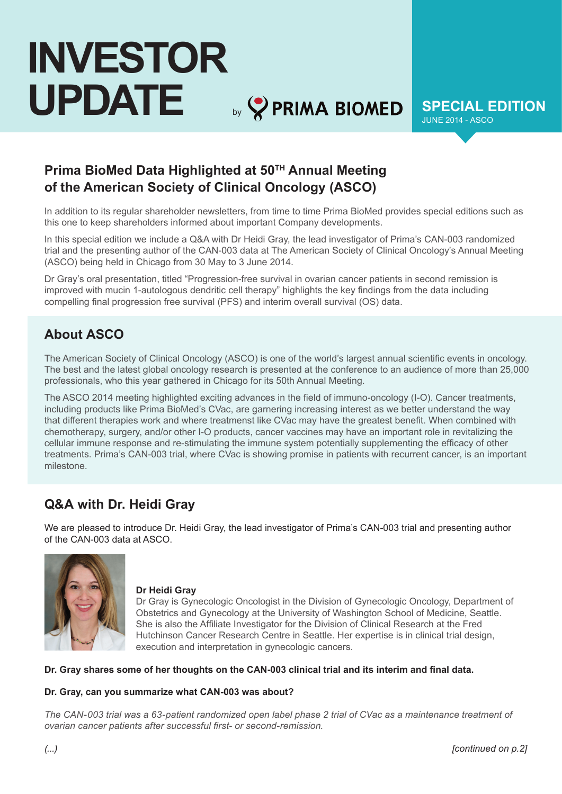# **INVESTOR UPDATE** by **SPECIAL EDITION**

JUNE 2014 - ASCO

# **Prima BioMed Data Highlighted at 50TH Annual Meeting of the American Society of Clinical Oncology (ASCO)**

In addition to its regular shareholder newsletters, from time to time Prima BioMed provides special editions such as this one to keep shareholders informed about important Company developments.

In this special edition we include a Q&A with Dr Heidi Gray, the lead investigator of Prima's CAN-003 randomized trial and the presenting author of the CAN-003 data at The American Society of Clinical Oncology's Annual Meeting (ASCO) being held in Chicago from 30 May to 3 June 2014.

Dr Gray's oral presentation, titled "Progression-free survival in ovarian cancer patients in second remission is improved with mucin 1-autologous dendritic cell therapy" highlights the key findings from the data including compelling final progression free survival (PFS) and interim overall survival (OS) data.

## **About ASCO**

The American Society of Clinical Oncology (ASCO) is one of the world's largest annual scientific events in oncology. The best and the latest global oncology research is presented at the conference to an audience of more than 25,000 professionals, who this year gathered in Chicago for its 50th Annual Meeting.

The ASCO 2014 meeting highlighted exciting advances in the field of immuno-oncology (I-O). Cancer treatments, including products like Prima BioMed's CVac, are garnering increasing interest as we better understand the way that different therapies work and where treatmenst like CVac may have the greatest benefit. When combined with chemotherapy, surgery, and/or other I-O products, cancer vaccines may have an important role in revitalizing the cellular immune response and re-stimulating the immune system potentially supplementing the efficacy of other treatments. Prima's CAN-003 trial, where CVac is showing promise in patients with recurrent cancer, is an important milestone.

## **Q&A with Dr. Heidi Gray**

We are pleased to introduce Dr. Heidi Gray, the lead investigator of Prima's CAN-003 trial and presenting author of the CAN-003 data at ASCO.



#### **Dr Heidi Gray**

Dr Gray is Gynecologic Oncologist in the Division of Gynecologic Oncology, Department of Obstetrics and Gynecology at the University of Washington School of Medicine, Seattle. She is also the Affiliate Investigator for the Division of Clinical Research at the Fred Hutchinson Cancer Research Centre in Seattle. Her expertise is in clinical trial design, execution and interpretation in gynecologic cancers.

#### **Dr. Gray shares some of her thoughts on the CAN-003 clinical trial and its interim and final data.**

#### **Dr. Gray, can you summarize what CAN-003 was about?**

*The CAN-003 trial was a 63-patient randomized open label phase 2 trial of CVac as a maintenance treatment of ovarian cancer patients after successful first- or second-remission.*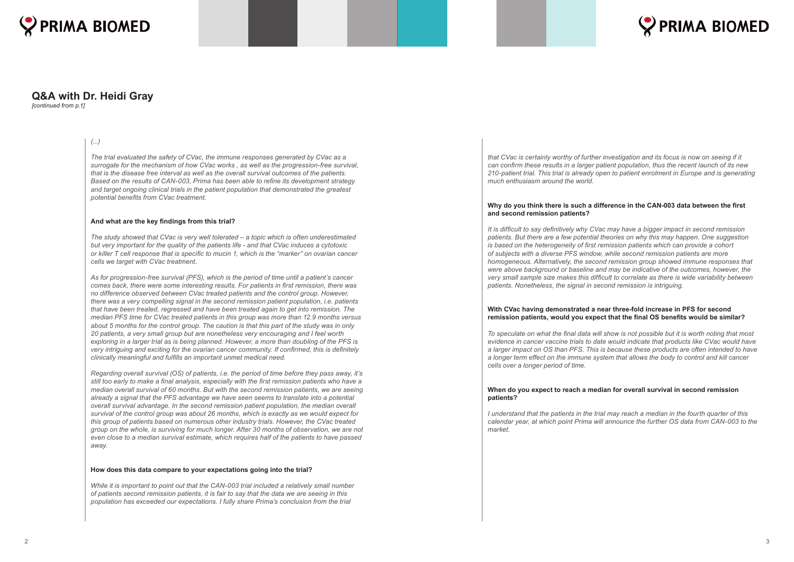

## **Q&A with Dr. Heidi Gray**

*[continued from p.1]*

#### *(...)*

*The trial evaluated the safety of CVac, the immune responses generated by CVac as a surrogate for the mechanism of how CVac works , as well as the progression-free survival, that is the disease free interval as well as the overall survival outcomes of the patients. Based on the results of CAN-003, Prima has been able to refine its development strategy and target ongoing clinical trials in the patient population that demonstrated the greatest potential benefits from CVac treatment.*

#### **And what are the key findings from this trial?**

*The study showed that CVac is very well tolerated – a topic which is often underestimated but very important for the quality of the patients life - and that CVac induces a cytotoxic or killer T cell response that is specific to mucin 1, which is the "marker" on ovarian cancer cells we target with CVac treatment.* 

*As for progression-free survival (PFS), which is the period of time until a patient's cancer comes back, there were some interesting results. For patients in first remission, there was no difference observed between CVac treated patients and the control group. However, there was a very compelling signal in the second remission patient population, i.e. patients that have been treated, regressed and have been treated again to get into remission. The median PFS time for CVac treated patients in this group was more than 12.9 months versus about 5 months for the control group. The caution is that this part of the study was in only 20 patients, a very small group but are nonetheless very encouraging and I feel worth exploring in a larger trial as is being planned. However, a more than doubling of the PFS is very intriguing and exciting for the ovarian cancer community. If confirmed, this is definitely clinically meaningful and fulfills an important unmet medical need.* 

*Regarding overall survival (OS) of patients, i.e. the period of time before they pass away, it's still too early to make a final analysis, especially with the first remission patients who have a median overall survival of 60 months. But with the second remission patients, we are seeing already a signal that the PFS advantage we have seen seems to translate into a potential overall survival advantage. In the second remission patient population, the median overall survival of the control group was about 26 months, which is exactly as we would expect for this group of patients based on numerous other industry trials. However, the CVac treated group on the whole, is surviving for much longer. After 30 months of observation, we are not even close to a median survival estimate, which requires half of the patients to have passed away.* 

#### **How does this data compare to your expectations going into the trial?**

*While it is important to point out that the CAN-003 trial included a relatively small number of patients second remission patients, it is fair to say that the data we are seeing in this population has exceeded our expectations. I fully share Prima's conclusion from the trial* 

*that CVac is certainly worthy of further investigation and its focus is now on seeing if it can confirm these results in a larger patient population, thus the recent launch of its new 210-patient trial. This trial is already open to patient enrolment in Europe and is generating much enthusiasm around the world.* 

#### **Why do you think there is such a difference in the CAN-003 data between the first and second remission patients?**

*It is difficult to say definitively why CVac may have a bigger impact in second remission patients. But there are a few potential theories on why this may happen. One suggestion is based on the heterogeneity of first remission patients which can provide a cohort of subjects with a diverse PFS window, while second remission patients are more homogeneous. Alternatively, the second remission group showed immune responses that were above background or baseline and may be indicative of the outcomes, however, the very small sample size makes this difficult to correlate as there is wide variability between patients. Nonetheless, the signal in second remission is intriguing.*

#### **With CVac having demonstrated a near three-fold increase in PFS for second remission patients, would you expect that the final OS benefits would be similar?**

*To speculate on what the final data will show is not possible but it is worth noting that most evidence in cancer vaccine trials to date would indicate that products like CVac would have a larger impact on OS than PFS. This is because these products are often intended to have a longer term effect on the immune system that allows the body to control and kill cancer cells over a longer period of time.* 

#### **When do you expect to reach a median for overall survival in second remission patients?**

*I understand that the patients in the trial may reach a median in the fourth quarter of this calendar year, at which point Prima will announce the further OS data from CAN-003 to the market.*